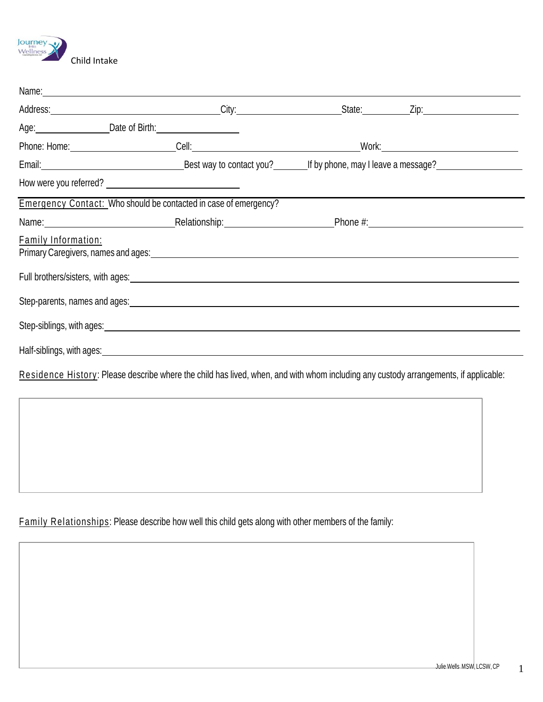

| Emergency Contact: Who should be contacted in case of emergency?                                                                                                                                                                     |                                                                                                                                                                                                                               |  |
|--------------------------------------------------------------------------------------------------------------------------------------------------------------------------------------------------------------------------------------|-------------------------------------------------------------------------------------------------------------------------------------------------------------------------------------------------------------------------------|--|
|                                                                                                                                                                                                                                      | Name: Name: Name: Name: Name: Name: Name: Name: Name: Name: Name: Name: Name: Name: Name: Name: Name: Name: Name: Name: Name: Name: Name: Name: Name: Name: Name: Name: Name: Name: Name: Name: Name: Name: Name: Name: Name: |  |
| <b>Family Information:</b>                                                                                                                                                                                                           |                                                                                                                                                                                                                               |  |
| Full brothers/sisters, with ages: <b>with and the set of the set of the set of the set of the set of the set of the set of the set of the set of the set of the set of the set of the set of the set of the set of the set of th</b> |                                                                                                                                                                                                                               |  |
|                                                                                                                                                                                                                                      |                                                                                                                                                                                                                               |  |
| Step-siblings, with ages: example and a strategies of the state of the state of the state of the state of the state of the state of the state of the state of the state of the state of the state of the state of the state of       |                                                                                                                                                                                                                               |  |
|                                                                                                                                                                                                                                      |                                                                                                                                                                                                                               |  |

Residence History: Please describe where the child has lived, when, and with whom including any custody arrangements, if applicable:

Family Relationships: Please describe how well this child gets along with other members of the family: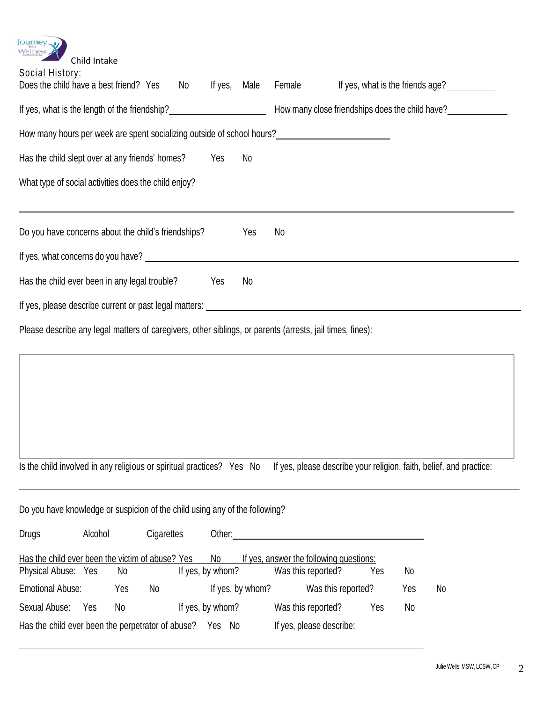| <b>Journey</b><br>Wellness<br>Child Intake<br><b>Social History:</b><br>Does the child have a best friend? Yes<br>If yes,<br>No<br>Male               | Female<br>If yes, what is the friends age?                          |
|-------------------------------------------------------------------------------------------------------------------------------------------------------|---------------------------------------------------------------------|
| If yes, what is the length of the friendship?<br><u>If</u> yes, what is the length of the friendship?                                                 | How many close friendships does the child have?                     |
| How many hours per week are spent socializing outside of school hours?<br><u>Letter and the set of seconds are spent and the set of school hours?</u> |                                                                     |
| Has the child slept over at any friends' homes?<br>Yes<br>No                                                                                          |                                                                     |
| What type of social activities does the child enjoy?                                                                                                  |                                                                     |
| Do you have concerns about the child's friendships?<br>Yes                                                                                            | No                                                                  |
| If yes, what concerns do you have?                                                                                                                    |                                                                     |
| Has the child ever been in any legal trouble?<br>Yes<br>No                                                                                            |                                                                     |
|                                                                                                                                                       |                                                                     |
| Please describe any legal matters of caregivers, other siblings, or parents (arrests, jail times, fines):                                             |                                                                     |
| Is the child involved in any religious or spiritual practices? Yes No<br>Do you have knowledge or suspicion of the child using any of the following?  | If yes, please describe your religion, faith, belief, and practice: |

|                         |     |    | No                                                                                                                             |                                                       |                  |                                                                                           |    |
|-------------------------|-----|----|--------------------------------------------------------------------------------------------------------------------------------|-------------------------------------------------------|------------------|-------------------------------------------------------------------------------------------|----|
| Physical Abuse: Yes     | No  |    |                                                                                                                                | Was this reported?                                    | Yes              | No                                                                                        |    |
| <b>Emotional Abuse:</b> | Yes | No |                                                                                                                                |                                                       |                  | Yes                                                                                       | No |
| Yes                     | No  |    |                                                                                                                                | Was this reported?                                    | Yes              | No                                                                                        |    |
|                         |     |    | Yes                                                                                                                            |                                                       |                  |                                                                                           |    |
|                         |     |    | Alcohol<br>Cigarettes<br>Has the child ever been the victim of abuse? Yes<br>Has the child ever been the perpetrator of abuse? | Other:<br>If yes, by whom?<br>If yes, by whom?<br>-No | If yes, by whom? | If yes, answer the following questions:<br>Was this reported?<br>If yes, please describe: |    |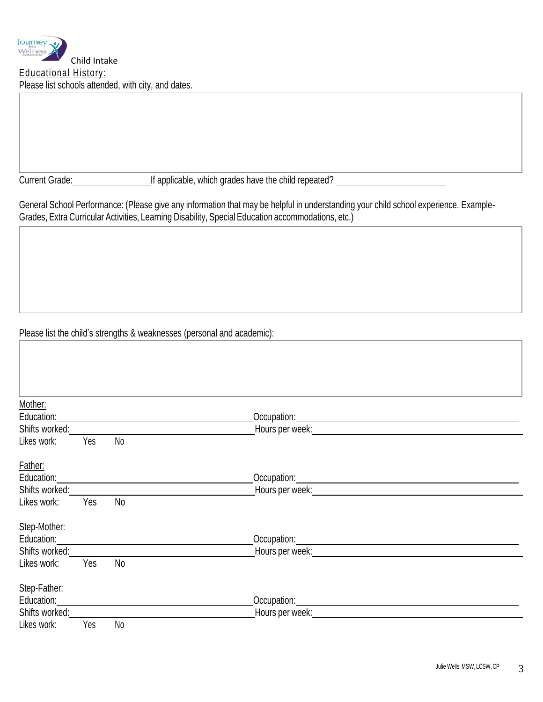Current Grade: If applicable, which grades have the child repeated?

General School Performance: (Please give any information that may be helpful in understanding your child school experience. Example-Grades, Extra Curricular Activities, Learning Disability, Special Education accommodations, etc.)

Please list the child's strengths & weaknesses (personal and academic):

| Mother:        |     |                |                                                                                                                                                                                                                                      |
|----------------|-----|----------------|--------------------------------------------------------------------------------------------------------------------------------------------------------------------------------------------------------------------------------------|
| Education:     |     |                | Occupation: <u>contract and contract and contract and contract and contract and contract and contract and contract and contract and contract and contract and contract and contract and contract and contract and contract and c</u> |
| Shifts worked: |     |                | Hours per week: Network and the state of the state of the state of the state of the state of the state of the                                                                                                                        |
| Likes work:    | Yes | No             |                                                                                                                                                                                                                                      |
| Father:        |     |                |                                                                                                                                                                                                                                      |
| Education:     |     |                |                                                                                                                                                                                                                                      |
| Shifts worked: |     |                | Hours per week: Network and the state of the state of the state of the state of the state of the state of the                                                                                                                        |
| Likes work:    | Yes | N <sub>o</sub> |                                                                                                                                                                                                                                      |
| Step-Mother:   |     |                |                                                                                                                                                                                                                                      |
| Education:     |     |                |                                                                                                                                                                                                                                      |
| Shifts worked: |     |                | Hours per week: Note that the state of the state of the state of the state of the state of the state of the state of the state of the state of the state of the state of the state of the state of the state of the state of t       |
| Likes work:    | Yes | No             |                                                                                                                                                                                                                                      |
| Step-Father:   |     |                |                                                                                                                                                                                                                                      |
| Education:     |     |                | Occupation: <u>_______________________</u>                                                                                                                                                                                           |
| Shifts worked: |     |                | Hours per week:                                                                                                                                                                                                                      |
| Likes work:    | Yes | N <sub>o</sub> |                                                                                                                                                                                                                                      |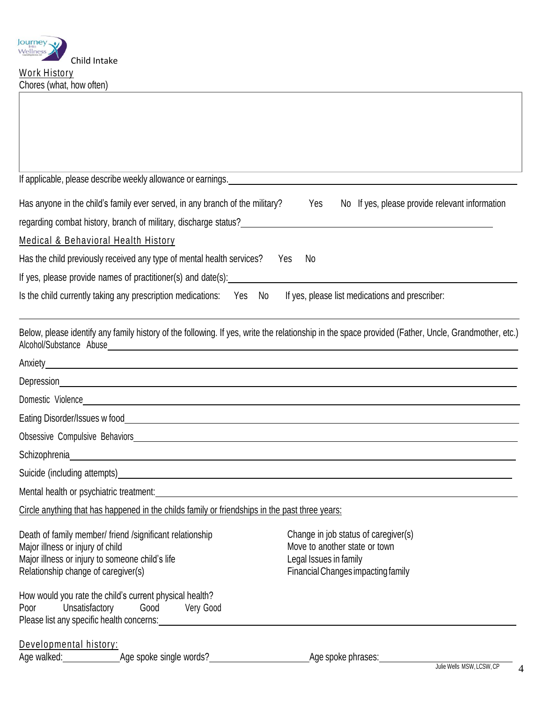

| If applicable, please describe weekly allowance or earnings. <u>[1989]</u> The manual control of the series of the series of the series of the series of the series of the series of the series of the series of the series of the                                                                                                    |                                                                                                                                       |
|---------------------------------------------------------------------------------------------------------------------------------------------------------------------------------------------------------------------------------------------------------------------------------------------------------------------------------------|---------------------------------------------------------------------------------------------------------------------------------------|
| Has anyone in the child's family ever served, in any branch of the military?<br>regarding combat history, branch of military, discharge status?<br>and the manufacture content component component component component content of military content of the state o                                                                     | No If yes, please provide relevant information<br>Yes                                                                                 |
| <b>Medical &amp; Behavioral Health History</b>                                                                                                                                                                                                                                                                                        |                                                                                                                                       |
| Has the child previously received any type of mental health services?                                                                                                                                                                                                                                                                 | Yes<br>No.                                                                                                                            |
| If yes, please provide names of practitioner(s) and date(s): [14] [2012] [2012] [2012] [2012] [2012] [2012] [2012] [2012] [2012] [2012] [2012] [2012] [2012] [2012] [2012] [2012] [2012] [2012] [2012] [2012] [2012] [2012] [2                                                                                                        |                                                                                                                                       |
| Is the child currently taking any prescription medications: Yes No                                                                                                                                                                                                                                                                    | If yes, please list medications and prescriber:                                                                                       |
| Below, please identify any family history of the following. If yes, write the relationship in the space provided (Father, Uncle, Grandmother, etc.)                                                                                                                                                                                   |                                                                                                                                       |
|                                                                                                                                                                                                                                                                                                                                       |                                                                                                                                       |
|                                                                                                                                                                                                                                                                                                                                       |                                                                                                                                       |
|                                                                                                                                                                                                                                                                                                                                       |                                                                                                                                       |
|                                                                                                                                                                                                                                                                                                                                       |                                                                                                                                       |
|                                                                                                                                                                                                                                                                                                                                       |                                                                                                                                       |
| Schizophrenia eta aldean arte aldean arte aldean arte aldean arte aldean arte aldean arte aldean arte aldean a                                                                                                                                                                                                                        |                                                                                                                                       |
| Suicide (including attempts) example and the second state of the second state of the second state of the second state of the second state of the second state of the second state of the second state of the second state of t                                                                                                        |                                                                                                                                       |
| Mental health or psychiatric treatment: example and a series of the series of the series of the series of the series of the series of the series of the series of the series of the series of the series of the series of the                                                                                                         |                                                                                                                                       |
| Circle anything that has happened in the childs family or friendships in the past three years:                                                                                                                                                                                                                                        |                                                                                                                                       |
| Death of family member/ friend /significant relationship<br>Major illness or injury of child<br>Major illness or injury to someone child's life<br>Relationship change of caregiver(s)                                                                                                                                                | Change in job status of caregiver(s)<br>Move to another state or town<br>Legal Issues in family<br>Financial Changes impacting family |
| How would you rate the child's current physical health?<br>Unsatisfactory<br>Good Very Good<br>Poor<br>Please list any specific health concerns: Note that the state of the state of the state of the state of the state of the state of the state of the state of the state of the state of the state of the state of the state of t |                                                                                                                                       |
| Developmental history:                                                                                                                                                                                                                                                                                                                | Age spoke phrases:<br>Julie Wells MSW, LCSW, CP                                                                                       |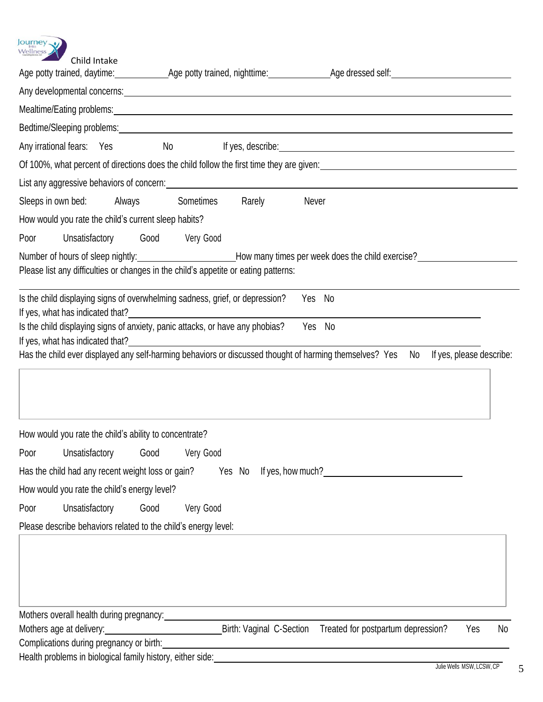

| Child Intake                                                                                                                                                                                                                   |           | Age potty trained, daytime: ________________Age potty trained, nighttime: _______________Age dressed self: ___________________________                                               |
|--------------------------------------------------------------------------------------------------------------------------------------------------------------------------------------------------------------------------------|-----------|--------------------------------------------------------------------------------------------------------------------------------------------------------------------------------------|
| Any developmental concerns: example and any of the set of the set of the set of the set of the set of the set of the set of the set of the set of the set of the set of the set of the set of the set of the set of the set of |           |                                                                                                                                                                                      |
|                                                                                                                                                                                                                                |           |                                                                                                                                                                                      |
|                                                                                                                                                                                                                                |           |                                                                                                                                                                                      |
| Bedtime/Sleeping problems: Letter and the state of the state of the state of the state of the state of the state of the state of the state of the state of the state of the state of the state of the state of the state of th |           |                                                                                                                                                                                      |
|                                                                                                                                                                                                                                |           | Any irrational fears: Yes No If yes, describe: No Any irrational fears: Yes No Any If yes, describe:                                                                                 |
|                                                                                                                                                                                                                                |           | Of 100%, what percent of directions does the child follow the first time they are given:<br>Of 100%, what percent of directions does the child follow the first time they are given: |
|                                                                                                                                                                                                                                |           |                                                                                                                                                                                      |
| Sleeps in own bed: Always Sometimes                                                                                                                                                                                            | Rarely    | Never                                                                                                                                                                                |
| How would you rate the child's current sleep habits?                                                                                                                                                                           |           |                                                                                                                                                                                      |
| Unsatisfactory Good Very Good<br>Poor                                                                                                                                                                                          |           |                                                                                                                                                                                      |
|                                                                                                                                                                                                                                |           |                                                                                                                                                                                      |
| Please list any difficulties or changes in the child's appetite or eating patterns:                                                                                                                                            |           |                                                                                                                                                                                      |
| Is the child displaying signs of overwhelming sadness, grief, or depression?                                                                                                                                                   |           | Yes No                                                                                                                                                                               |
| If yes, what has indicated that? If yes, what has indicated that?                                                                                                                                                              |           |                                                                                                                                                                                      |
| Is the child displaying signs of anxiety, panic attacks, or have any phobias? Yes No                                                                                                                                           |           |                                                                                                                                                                                      |
| Has the child ever displayed any self-harming behaviors or discussed thought of harming themselves? Yes No                                                                                                                     |           | If yes, please describe:                                                                                                                                                             |
|                                                                                                                                                                                                                                |           |                                                                                                                                                                                      |
| How would you rate the child's ability to concentrate?                                                                                                                                                                         |           |                                                                                                                                                                                      |
| Poor Unsatisfactory Good Very Good                                                                                                                                                                                             |           |                                                                                                                                                                                      |
| Has the child had any recent weight loss or gain?                                                                                                                                                                              | Yes No    | If yes, how much?<br>If yes, how much?                                                                                                                                               |
| How would you rate the child's energy level?                                                                                                                                                                                   |           |                                                                                                                                                                                      |
| Good<br>Unsatisfactory<br>Poor                                                                                                                                                                                                 | Very Good |                                                                                                                                                                                      |
| Please describe behaviors related to the child's energy level:                                                                                                                                                                 |           |                                                                                                                                                                                      |
|                                                                                                                                                                                                                                |           |                                                                                                                                                                                      |
| Mothers overall health during pregnancy:<br>Mothers overall health during pregnancy:                                                                                                                                           |           |                                                                                                                                                                                      |
| Mothers age at delivery: Mothers age at delivery:                                                                                                                                                                              |           | Birth: Vaginal C-Section Treated for postpartum depression?<br>No<br>Yes                                                                                                             |
| Complications during pregnancy or birth:                                                                                                                                                                                       |           |                                                                                                                                                                                      |
| Health problems in biological family history, either side:                                                                                                                                                                     |           |                                                                                                                                                                                      |